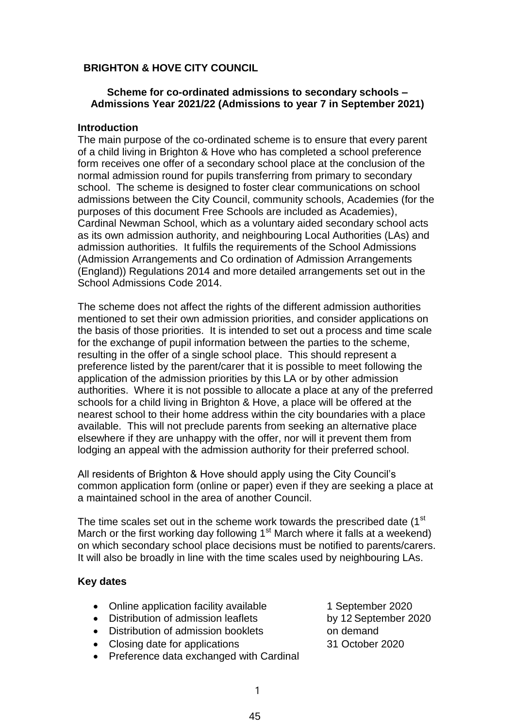# **BRIGHTON & HOVE CITY COUNCIL**

## **Scheme for co-ordinated admissions to secondary schools – Admissions Year 2021/22 (Admissions to year 7 in September 2021)**

### **Introduction**

The main purpose of the co-ordinated scheme is to ensure that every parent of a child living in Brighton & Hove who has completed a school preference form receives one offer of a secondary school place at the conclusion of the normal admission round for pupils transferring from primary to secondary school. The scheme is designed to foster clear communications on school admissions between the City Council, community schools, Academies (for the purposes of this document Free Schools are included as Academies), Cardinal Newman School, which as a voluntary aided secondary school acts as its own admission authority, and neighbouring Local Authorities (LAs) and admission authorities. It fulfils the requirements of the School Admissions (Admission Arrangements and Co ordination of Admission Arrangements (England)) Regulations 2014 and more detailed arrangements set out in the School Admissions Code 2014.

The scheme does not affect the rights of the different admission authorities mentioned to set their own admission priorities, and consider applications on the basis of those priorities. It is intended to set out a process and time scale for the exchange of pupil information between the parties to the scheme, resulting in the offer of a single school place. This should represent a preference listed by the parent/carer that it is possible to meet following the application of the admission priorities by this LA or by other admission authorities. Where it is not possible to allocate a place at any of the preferred schools for a child living in Brighton & Hove, a place will be offered at the nearest school to their home address within the city boundaries with a place available. This will not preclude parents from seeking an alternative place elsewhere if they are unhappy with the offer, nor will it prevent them from lodging an appeal with the admission authority for their preferred school.

All residents of Brighton & Hove should apply using the City Council's common application form (online or paper) even if they are seeking a place at a maintained school in the area of another Council.

The time scales set out in the scheme work towards the prescribed date (1<sup>st</sup>) March or the first working day following  $1<sup>st</sup>$  March where it falls at a weekend) on which secondary school place decisions must be notified to parents/carers. It will also be broadly in line with the time scales used by neighbouring LAs.

#### **Key dates**

- Online application facility available 1 September 2020
- Distribution of admission leaflets by 12 September 2020
- Distribution of admission booklets on demand
- Closing date for applications 31 October 2020
- Preference data exchanged with Cardinal
- 
-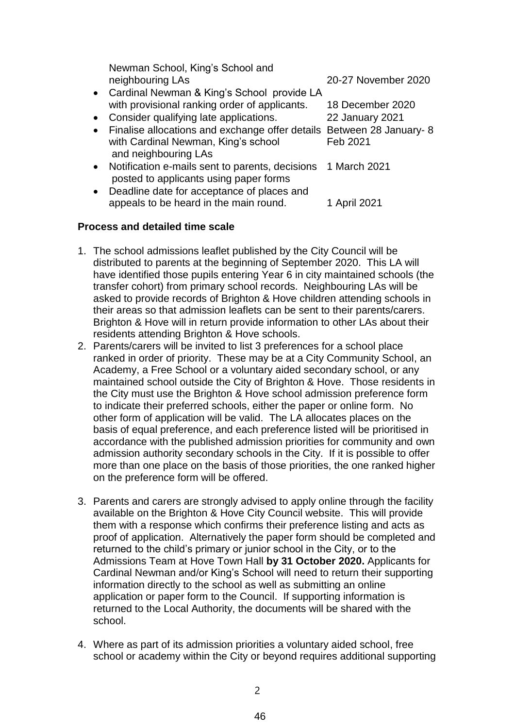|           | Newman School, King's School and                                                            |                        |
|-----------|---------------------------------------------------------------------------------------------|------------------------|
|           | neighbouring LAs                                                                            | 20-27 November 2020    |
|           | • Cardinal Newman & King's School provide LA                                                |                        |
|           | with provisional ranking order of applicants.                                               | 18 December 2020       |
| $\bullet$ | Consider qualifying late applications.                                                      | <b>22 January 2021</b> |
|           | • Finalise allocations and exchange offer details Between 28 January- 8                     |                        |
|           | with Cardinal Newman, King's school                                                         | Feb 2021               |
|           | and neighbouring LAs                                                                        |                        |
|           | • Notification e-mails sent to parents, decisions<br>posted to applicants using paper forms | 1 March 2021           |
| $\bullet$ | Deadline date for acceptance of places and                                                  |                        |
|           | appeals to be heard in the main round.                                                      | 1 April 2021           |

## **Process and detailed time scale**

- 1. The school admissions leaflet published by the City Council will be distributed to parents at the beginning of September 2020. This LA will have identified those pupils entering Year 6 in city maintained schools (the transfer cohort) from primary school records. Neighbouring LAs will be asked to provide records of Brighton & Hove children attending schools in their areas so that admission leaflets can be sent to their parents/carers. Brighton & Hove will in return provide information to other LAs about their residents attending Brighton & Hove schools.
- 2. Parents/carers will be invited to list 3 preferences for a school place ranked in order of priority. These may be at a City Community School, an Academy, a Free School or a voluntary aided secondary school, or any maintained school outside the City of Brighton & Hove. Those residents in the City must use the Brighton & Hove school admission preference form to indicate their preferred schools, either the paper or online form. No other form of application will be valid. The LA allocates places on the basis of equal preference, and each preference listed will be prioritised in accordance with the published admission priorities for community and own admission authority secondary schools in the City. If it is possible to offer more than one place on the basis of those priorities, the one ranked higher on the preference form will be offered.
- 3. Parents and carers are strongly advised to apply online through the facility available on the Brighton & Hove City Council website. This will provide them with a response which confirms their preference listing and acts as proof of application. Alternatively the paper form should be completed and returned to the child's primary or junior school in the City, or to the Admissions Team at Hove Town Hall **by 31 October 2020.** Applicants for Cardinal Newman and/or King's School will need to return their supporting information directly to the school as well as submitting an online application or paper form to the Council. If supporting information is returned to the Local Authority, the documents will be shared with the school.
- 4. Where as part of its admission priorities a voluntary aided school, free school or academy within the City or beyond requires additional supporting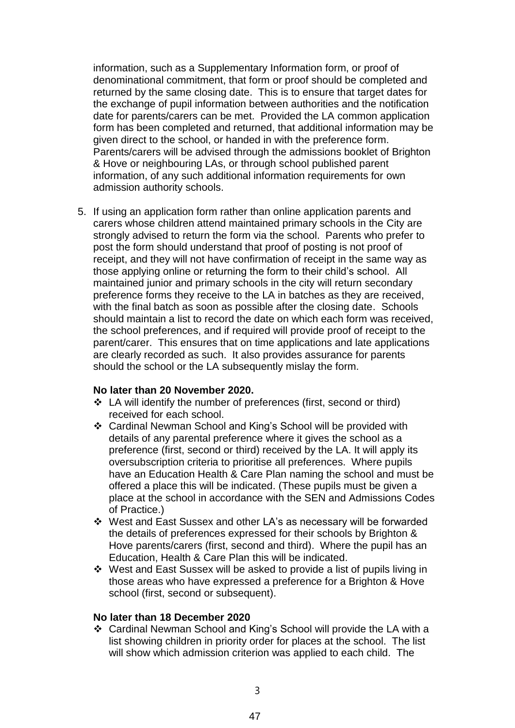information, such as a Supplementary Information form, or proof of denominational commitment, that form or proof should be completed and returned by the same closing date. This is to ensure that target dates for the exchange of pupil information between authorities and the notification date for parents/carers can be met. Provided the LA common application form has been completed and returned, that additional information may be given direct to the school, or handed in with the preference form. Parents/carers will be advised through the admissions booklet of Brighton & Hove or neighbouring LAs, or through school published parent information, of any such additional information requirements for own admission authority schools.

5. If using an application form rather than online application parents and carers whose children attend maintained primary schools in the City are strongly advised to return the form via the school. Parents who prefer to post the form should understand that proof of posting is not proof of receipt, and they will not have confirmation of receipt in the same way as those applying online or returning the form to their child's school. All maintained junior and primary schools in the city will return secondary preference forms they receive to the LA in batches as they are received, with the final batch as soon as possible after the closing date. Schools should maintain a list to record the date on which each form was received, the school preferences, and if required will provide proof of receipt to the parent/carer. This ensures that on time applications and late applications are clearly recorded as such. It also provides assurance for parents should the school or the LA subsequently mislay the form.

#### **No later than 20 November 2020.**

- LA will identify the number of preferences (first, second or third) received for each school.
- Cardinal Newman School and King's School will be provided with details of any parental preference where it gives the school as a preference (first, second or third) received by the LA. It will apply its oversubscription criteria to prioritise all preferences. Where pupils have an Education Health & Care Plan naming the school and must be offered a place this will be indicated. (These pupils must be given a place at the school in accordance with the SEN and Admissions Codes of Practice.)
- West and East Sussex and other LA's as necessary will be forwarded the details of preferences expressed for their schools by Brighton & Hove parents/carers (first, second and third). Where the pupil has an Education, Health & Care Plan this will be indicated.
- West and East Sussex will be asked to provide a list of pupils living in those areas who have expressed a preference for a Brighton & Hove school (first, second or subsequent).

#### **No later than 18 December 2020**

 Cardinal Newman School and King's School will provide the LA with a list showing children in priority order for places at the school. The list will show which admission criterion was applied to each child. The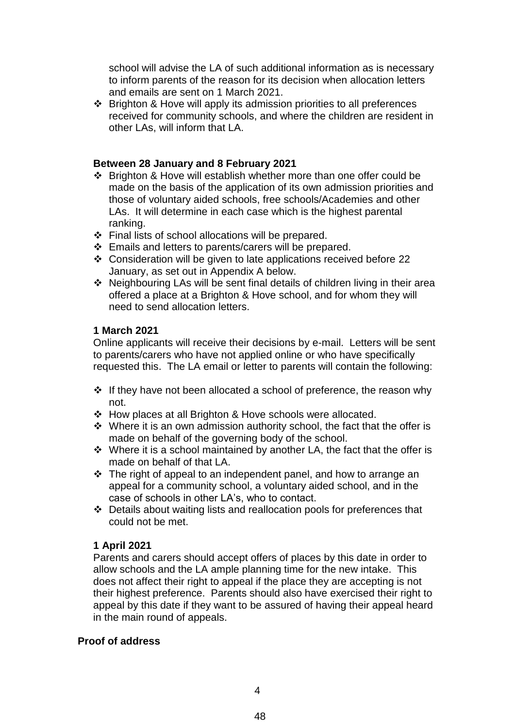school will advise the LA of such additional information as is necessary to inform parents of the reason for its decision when allocation letters and emails are sent on 1 March 2021.

 Brighton & Hove will apply its admission priorities to all preferences received for community schools, and where the children are resident in other LAs, will inform that LA.

## **Between 28 January and 8 February 2021**

- Brighton & Hove will establish whether more than one offer could be made on the basis of the application of its own admission priorities and those of voluntary aided schools, free schools/Academies and other LAs. It will determine in each case which is the highest parental ranking.
- Final lists of school allocations will be prepared.
- Emails and letters to parents/carers will be prepared.
- Consideration will be given to late applications received before 22 January, as set out in Appendix A below.
- Neighbouring LAs will be sent final details of children living in their area offered a place at a Brighton & Hove school, and for whom they will need to send allocation letters.

## **1 March 2021**

Online applicants will receive their decisions by e-mail. Letters will be sent to parents/carers who have not applied online or who have specifically requested this. The LA email or letter to parents will contain the following:

- $\cdot$  If they have not been allocated a school of preference, the reason why not.
- How places at all Brighton & Hove schools were allocated.
- $\cdot$  Where it is an own admission authority school, the fact that the offer is made on behalf of the governing body of the school.
- $\cdot$  Where it is a school maintained by another LA, the fact that the offer is made on behalf of that LA.
- $\cdot \cdot$  The right of appeal to an independent panel, and how to arrange an appeal for a community school, a voluntary aided school, and in the case of schools in other LA's, who to contact.
- Details about waiting lists and reallocation pools for preferences that could not be met.

# **1 April 2021**

Parents and carers should accept offers of places by this date in order to allow schools and the LA ample planning time for the new intake. This does not affect their right to appeal if the place they are accepting is not their highest preference. Parents should also have exercised their right to appeal by this date if they want to be assured of having their appeal heard in the main round of appeals.

### **Proof of address**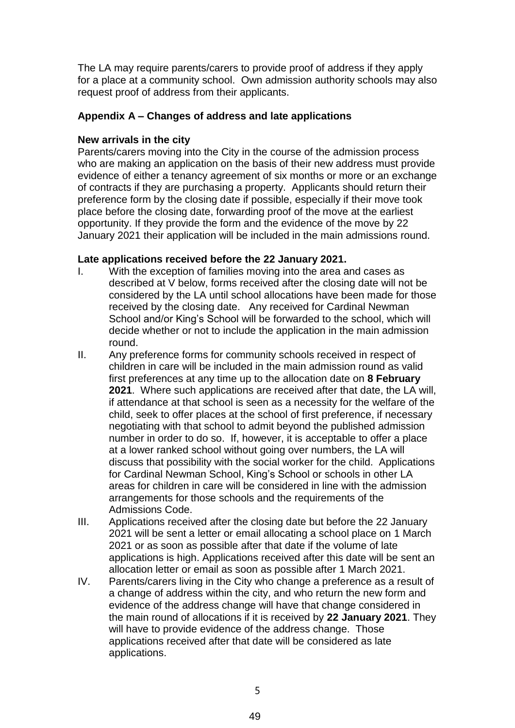The LA may require parents/carers to provide proof of address if they apply for a place at a community school. Own admission authority schools may also request proof of address from their applicants.

## **Appendix A – Changes of address and late applications**

## **New arrivals in the city**

Parents/carers moving into the City in the course of the admission process who are making an application on the basis of their new address must provide evidence of either a tenancy agreement of six months or more or an exchange of contracts if they are purchasing a property. Applicants should return their preference form by the closing date if possible, especially if their move took place before the closing date, forwarding proof of the move at the earliest opportunity. If they provide the form and the evidence of the move by 22 January 2021 their application will be included in the main admissions round.

# **Late applications received before the 22 January 2021.**

- I. With the exception of families moving into the area and cases as described at V below, forms received after the closing date will not be considered by the LA until school allocations have been made for those received by the closing date. Any received for Cardinal Newman School and/or King's School will be forwarded to the school, which will decide whether or not to include the application in the main admission round.
- II. Any preference forms for community schools received in respect of children in care will be included in the main admission round as valid first preferences at any time up to the allocation date on **8 February 2021**. Where such applications are received after that date, the LA will, if attendance at that school is seen as a necessity for the welfare of the child, seek to offer places at the school of first preference, if necessary negotiating with that school to admit beyond the published admission number in order to do so. If, however, it is acceptable to offer a place at a lower ranked school without going over numbers, the LA will discuss that possibility with the social worker for the child. Applications for Cardinal Newman School, King's School or schools in other LA areas for children in care will be considered in line with the admission arrangements for those schools and the requirements of the Admissions Code.
- III. Applications received after the closing date but before the 22 January 2021 will be sent a letter or email allocating a school place on 1 March 2021 or as soon as possible after that date if the volume of late applications is high. Applications received after this date will be sent an allocation letter or email as soon as possible after 1 March 2021.
- IV. Parents/carers living in the City who change a preference as a result of a change of address within the city, and who return the new form and evidence of the address change will have that change considered in the main round of allocations if it is received by **22 January 2021**. They will have to provide evidence of the address change. Those applications received after that date will be considered as late applications.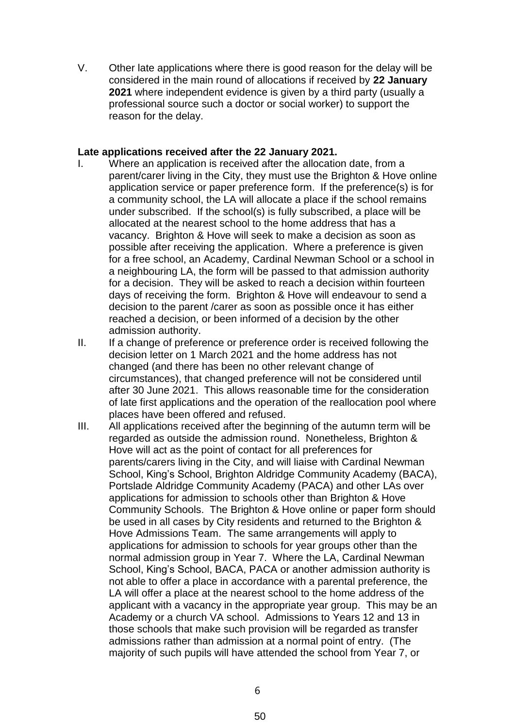V. Other late applications where there is good reason for the delay will be considered in the main round of allocations if received by **22 January 2021** where independent evidence is given by a third party (usually a professional source such a doctor or social worker) to support the reason for the delay.

### **Late applications received after the 22 January 2021.**

- I. Where an application is received after the allocation date, from a parent/carer living in the City, they must use the Brighton & Hove online application service or paper preference form. If the preference(s) is for a community school, the LA will allocate a place if the school remains under subscribed. If the school(s) is fully subscribed, a place will be allocated at the nearest school to the home address that has a vacancy. Brighton & Hove will seek to make a decision as soon as possible after receiving the application. Where a preference is given for a free school, an Academy, Cardinal Newman School or a school in a neighbouring LA, the form will be passed to that admission authority for a decision. They will be asked to reach a decision within fourteen days of receiving the form. Brighton & Hove will endeavour to send a decision to the parent /carer as soon as possible once it has either reached a decision, or been informed of a decision by the other admission authority.
- II. If a change of preference or preference order is received following the decision letter on 1 March 2021 and the home address has not changed (and there has been no other relevant change of circumstances), that changed preference will not be considered until after 30 June 2021. This allows reasonable time for the consideration of late first applications and the operation of the reallocation pool where places have been offered and refused.
- III. All applications received after the beginning of the autumn term will be regarded as outside the admission round. Nonetheless, Brighton & Hove will act as the point of contact for all preferences for parents/carers living in the City, and will liaise with Cardinal Newman School, King's School, Brighton Aldridge Community Academy (BACA), Portslade Aldridge Community Academy (PACA) and other LAs over applications for admission to schools other than Brighton & Hove Community Schools. The Brighton & Hove online or paper form should be used in all cases by City residents and returned to the Brighton & Hove Admissions Team. The same arrangements will apply to applications for admission to schools for year groups other than the normal admission group in Year 7. Where the LA, Cardinal Newman School, King's School, BACA, PACA or another admission authority is not able to offer a place in accordance with a parental preference, the LA will offer a place at the nearest school to the home address of the applicant with a vacancy in the appropriate year group. This may be an Academy or a church VA school. Admissions to Years 12 and 13 in those schools that make such provision will be regarded as transfer admissions rather than admission at a normal point of entry. (The majority of such pupils will have attended the school from Year 7, or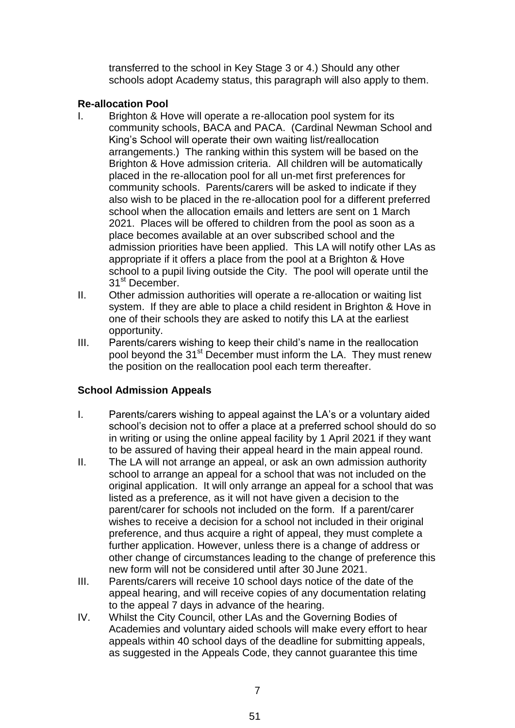transferred to the school in Key Stage 3 or 4.) Should any other schools adopt Academy status, this paragraph will also apply to them.

# **Re-allocation Pool**

- I. Brighton & Hove will operate a re-allocation pool system for its community schools, BACA and PACA. (Cardinal Newman School and King's School will operate their own waiting list/reallocation arrangements.) The ranking within this system will be based on the Brighton & Hove admission criteria. All children will be automatically placed in the re-allocation pool for all un-met first preferences for community schools. Parents/carers will be asked to indicate if they also wish to be placed in the re-allocation pool for a different preferred school when the allocation emails and letters are sent on 1 March 2021. Places will be offered to children from the pool as soon as a place becomes available at an over subscribed school and the admission priorities have been applied. This LA will notify other LAs as appropriate if it offers a place from the pool at a Brighton & Hove school to a pupil living outside the City. The pool will operate until the 31<sup>st</sup> December.
- II. Other admission authorities will operate a re-allocation or waiting list system. If they are able to place a child resident in Brighton & Hove in one of their schools they are asked to notify this LA at the earliest opportunity.
- III. Parents/carers wishing to keep their child's name in the reallocation pool beyond the 31<sup>st</sup> December must inform the LA. They must renew the position on the reallocation pool each term thereafter.

# **School Admission Appeals**

- I. Parents/carers wishing to appeal against the LA's or a voluntary aided school's decision not to offer a place at a preferred school should do so in writing or using the online appeal facility by 1 April 2021 if they want to be assured of having their appeal heard in the main appeal round.
- II. The LA will not arrange an appeal, or ask an own admission authority school to arrange an appeal for a school that was not included on the original application. It will only arrange an appeal for a school that was listed as a preference, as it will not have given a decision to the parent/carer for schools not included on the form. If a parent/carer wishes to receive a decision for a school not included in their original preference, and thus acquire a right of appeal, they must complete a further application. However, unless there is a change of address or other change of circumstances leading to the change of preference this new form will not be considered until after 30 June 2021.
- III. Parents/carers will receive 10 school days notice of the date of the appeal hearing, and will receive copies of any documentation relating to the appeal 7 days in advance of the hearing.
- IV. Whilst the City Council, other LAs and the Governing Bodies of Academies and voluntary aided schools will make every effort to hear appeals within 40 school days of the deadline for submitting appeals, as suggested in the Appeals Code, they cannot guarantee this time